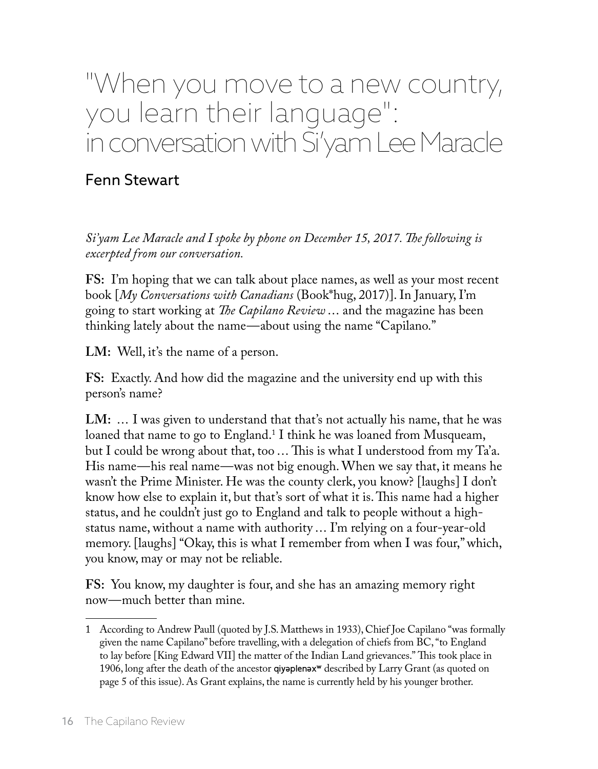## "When you move to a new country, you learn their language": in conversation with Si'yam Lee Maracle

## Fenn Stewart

*Si'yam Lee Maracle and I spoke by phone on December 15, 2017. The following is excerpted from our conversation.*

**FS:** I'm hoping that we can talk about place names, as well as your most recent book [*My Conversations with Canadians* (Book\*hug, 2017)]. In January, I'm going to start working at *The Capilano Review* ... and the magazine has been thinking lately about the name—about using the name "Capilano."

**LM:** Well, it's the name of a person.

**FS:** Exactly. And how did the magazine and the university end up with this person's name?

LM: ... I was given to understand that that's not actually his name, that he was loaned that name to go to England.<sup>1</sup> I think he was loaned from Musqueam, but I could be wrong about that, too ... This is what I understood from my Ta'a. His name—his real name—was not big enough. When we say that, it means he wasn't the Prime Minister. He was the county clerk, you know? [laughs] I don't know how else to explain it, but that's sort of what it is. This name had a higher status, and he couldn't just go to England and talk to people without a highstatus name, without a name with authority ... I'm relying on a four-year-old memory. [laughs] "Okay, this is what I remember from when I was four," which, you know, may or may not be reliable.

**FS:** You know, my daughter is four, and she has an amazing memory right now—much better than mine.

<sup>1</sup> According to Andrew Paull (quoted by J.S. Matthews in 1933), Chief Joe Capilano "was formally given the name Capilano" before travelling, with a delegation of chiefs from BC, "to England to lay before [King Edward VII] the matter of the Indian Land grievances." This took place in 1906, long after the death of the ancestor qiyaplenax<sup>w</sup> described by Larry Grant (as quoted on page 5 of this issue). As Grant explains, the name is currently held by his younger brother.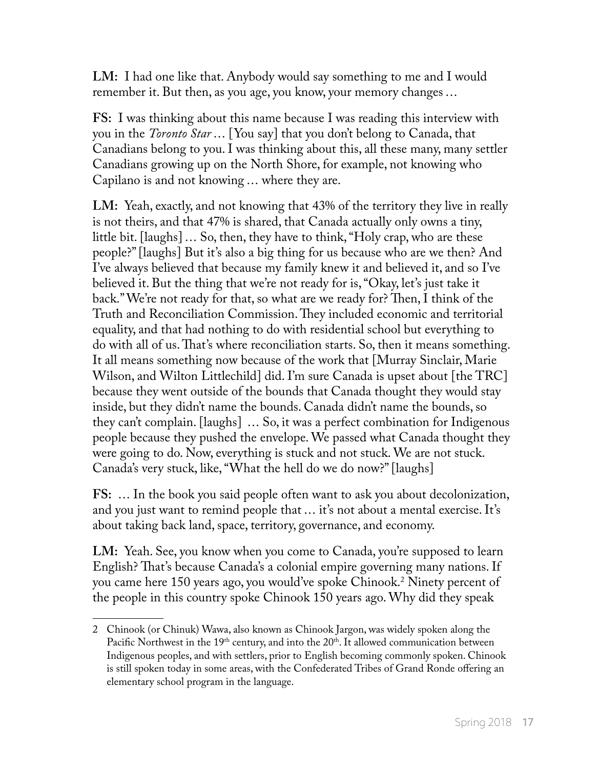**LM:** I had one like that. Anybody would say something to me and I would remember it. But then, as you age, you know, your memory changes ...

**FS:** I was thinking about this name because I was reading this interview with you in the *Toronto Star* ... [You say] that you don't belong to Canada, that Canadians belong to you. I was thinking about this, all these many, many settler Canadians growing up on the North Shore, for example, not knowing who Capilano is and not knowing ... where they are.

**LM:** Yeah, exactly, and not knowing that 43% of the territory they live in really is not theirs, and that 47% is shared, that Canada actually only owns a tiny, little bit. [laughs] ... So, then, they have to think, "Holy crap, who are these people?" [laughs] But it's also a big thing for us because who are we then? And I've always believed that because my family knew it and believed it, and so I've believed it. But the thing that we're not ready for is, "Okay, let's just take it back." We're not ready for that, so what are we ready for? Then, I think of the Truth and Reconciliation Commission. They included economic and territorial equality, and that had nothing to do with residential school but everything to do with all of us. That's where reconciliation starts. So, then it means something. It all means something now because of the work that [Murray Sinclair, Marie Wilson, and Wilton Littlechild] did. I'm sure Canada is upset about [the TRC] because they went outside of the bounds that Canada thought they would stay inside, but they didn't name the bounds. Canada didn't name the bounds, so they can't complain. [laughs] ... So, it was a perfect combination for Indigenous people because they pushed the envelope. We passed what Canada thought they were going to do. Now, everything is stuck and not stuck. We are not stuck. Canada's very stuck, like, "What the hell do we do now?" [laughs]

**FS:** ... In the book you said people often want to ask you about decolonization, and you just want to remind people that ... it's not about a mental exercise. It's about taking back land, space, territory, governance, and economy.

**LM:** Yeah. See, you know when you come to Canada, you're supposed to learn English? That's because Canada's a colonial empire governing many nations. If you came here 150 years ago, you would've spoke Chinook.2 Ninety percent of the people in this country spoke Chinook 150 years ago. Why did they speak

<sup>2</sup> Chinook (or Chinuk) Wawa, also known as Chinook Jargon, was widely spoken along the Pacific Northwest in the  $19<sup>th</sup>$  century, and into the  $20<sup>th</sup>$ . It allowed communication between Indigenous peoples, and with settlers, prior to English becoming commonly spoken. Chinook is still spoken today in some areas, with the Confederated Tribes of Grand Ronde offering an elementary school program in the language.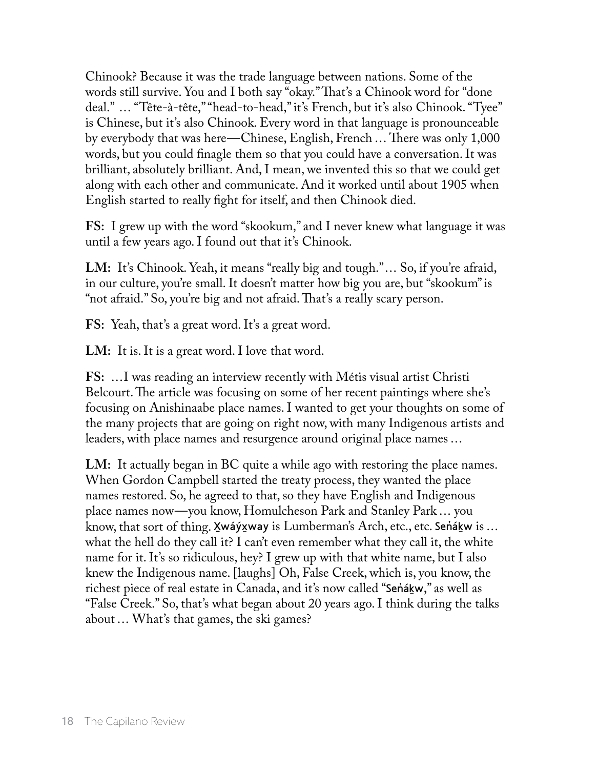Chinook? Because it was the trade language between nations. Some of the words still survive. You and I both say "okay." That's a Chinook word for "done deal." ... "Tête-à-tête," "head-to-head," it's French, but it's also Chinook. "Tyee" is Chinese, but it's also Chinook. Every word in that language is pronounceable by everybody that was here—Chinese, English, French ... There was only 1,000 words, but you could finagle them so that you could have a conversation. It was brilliant, absolutely brilliant. And, I mean, we invented this so that we could get along with each other and communicate. And it worked until about 1905 when English started to really fight for itself, and then Chinook died.

**FS:** I grew up with the word "skookum," and I never knew what language it was until a few years ago. I found out that it's Chinook.

LM: It's Chinook. Yeah, it means "really big and tough."... So, if you're afraid, in our culture, you're small. It doesn't matter how big you are, but "skookum" is "not afraid." So, you're big and not afraid. That's a really scary person.

**FS:** Yeah, that's a great word. It's a great word.

LM: It is. It is a great word. I love that word.

**FS:** ...I was reading an interview recently with Métis visual artist Christi Belcourt. The article was focusing on some of her recent paintings where she's focusing on Anishinaabe place names. I wanted to get your thoughts on some of the many projects that are going on right now, with many Indigenous artists and leaders, with place names and resurgence around original place names ...

**LM:** It actually began in BC quite a while ago with restoring the place names. When Gordon Campbell started the treaty process, they wanted the place names restored. So, he agreed to that, so they have English and Indigenous place names now—you know, Homulcheson Park and Stanley Park ... you know, that sort of thing. Xwáýxway is Lumberman's Arch, etc., etc. Senǎkw is ... what the hell do they call it? I can't even remember what they call it, the white name for it. It's so ridiculous, hey? I grew up with that white name, but I also knew the Indigenous name. [laughs] Oh, False Creek, which is, you know, the richest piece of real estate in Canada, and it's now called "Sen̓áḵw," as well as "False Creek." So, that's what began about 20 years ago. I think during the talks about ... What's that games, the ski games?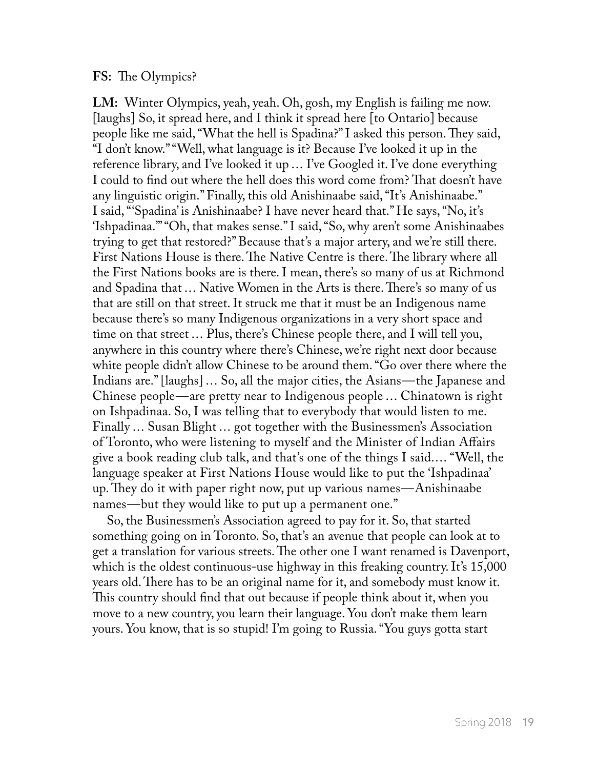## **FS:** The Olympics?

**LM:** Winter Olympics, yeah, yeah. Oh, gosh, my English is failing me now. [laughs] So, it spread here, and I think it spread here [to Ontario] because people like me said, "What the hell is Spadina?" I asked this person. They said, "I don't know." "Well, what language is it? Because I've looked it up in the reference library, and I've looked it up ... I've Googled it. I've done everything I could to find out where the hell does this word come from? That doesn't have any linguistic origin." Finally, this old Anishinaabe said, "It's Anishinaabe." I said, "'Spadina' is Anishinaabe? I have never heard that." He says, "No, it's 'Ishpadinaa.'" "Oh, that makes sense." I said, "So, why aren't some Anishinaabes trying to get that restored?" Because that's a major artery, and we're still there. First Nations House is there. The Native Centre is there. The library where all the First Nations books are is there. I mean, there's so many of us at Richmond and Spadina that ... Native Women in the Arts is there. There's so many of us that are still on that street. It struck me that it must be an Indigenous name because there's so many Indigenous organizations in a very short space and time on that street ... Plus, there's Chinese people there, and I will tell you, anywhere in this country where there's Chinese, we're right next door because white people didn't allow Chinese to be around them. "Go over there where the Indians are." [laughs] ... So, all the major cities, the Asians—the Japanese and Chinese people—are pretty near to Indigenous people ... Chinatown is right on Ishpadinaa. So, I was telling that to everybody that would listen to me. Finally ... Susan Blight ... got together with the Businessmen's Association of Toronto, who were listening to myself and the Minister of Indian Affairs give a book reading club talk, and that's one of the things I said.... "Well, the language speaker at First Nations House would like to put the 'Ishpadinaa' up. They do it with paper right now, put up various names—Anishinaabe names—but they would like to put up a permanent one."

So, the Businessmen's Association agreed to pay for it. So, that started something going on in Toronto. So, that's an avenue that people can look at to get a translation for various streets. The other one I want renamed is Davenport, which is the oldest continuous-use highway in this freaking country. It's 15,000 years old. There has to be an original name for it, and somebody must know it. This country should find that out because if people think about it, when you move to a new country, you learn their language. You don't make them learn yours. You know, that is so stupid! I'm going to Russia. "You guys gotta start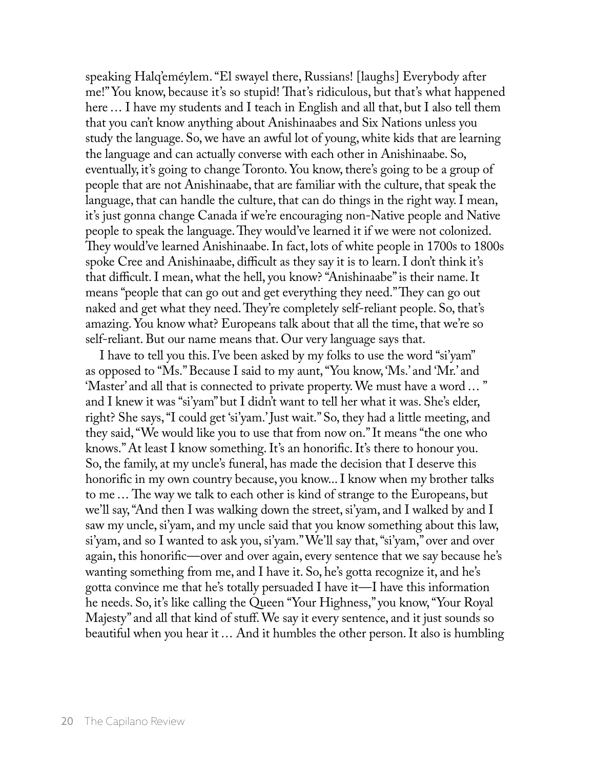speaking Halq'eméylem. "El swayel there, Russians! [laughs] Everybody after me!" You know, because it's so stupid! That's ridiculous, but that's what happened here ... I have my students and I teach in English and all that, but I also tell them that you can't know anything about Anishinaabes and Six Nations unless you study the language. So, we have an awful lot of young, white kids that are learning the language and can actually converse with each other in Anishinaabe. So, eventually, it's going to change Toronto. You know, there's going to be a group of people that are not Anishinaabe, that are familiar with the culture, that speak the language, that can handle the culture, that can do things in the right way. I mean, it's just gonna change Canada if we're encouraging non-Native people and Native people to speak the language. They would've learned it if we were not colonized. They would've learned Anishinaabe. In fact, lots of white people in 1700s to 1800s spoke Cree and Anishinaabe, difficult as they say it is to learn. I don't think it's that difficult. I mean, what the hell, you know? "Anishinaabe" is their name. It means "people that can go out and get everything they need." They can go out naked and get what they need. They're completely self-reliant people. So, that's amazing. You know what? Europeans talk about that all the time, that we're so self-reliant. But our name means that. Our very language says that.

I have to tell you this. I've been asked by my folks to use the word "si'yam" as opposed to "Ms." Because I said to my aunt, "You know, 'Ms.' and 'Mr.' and 'Master' and all that is connected to private property. We must have a word ... " and I knew it was "si'yam" but I didn't want to tell her what it was. She's elder, right? She says, "I could get 'si'yam.' Just wait." So, they had a little meeting, and they said, "We would like you to use that from now on." It means "the one who knows." At least I know something. It's an honorific. It's there to honour you. So, the family, at my uncle's funeral, has made the decision that I deserve this honorific in my own country because, you know... I know when my brother talks to me ... The way we talk to each other is kind of strange to the Europeans, but we'll say, "And then I was walking down the street, si'yam, and I walked by and I saw my uncle, si'yam, and my uncle said that you know something about this law, si'yam, and so I wanted to ask you, si'yam." We'll say that, "si'yam," over and over again, this honorific—over and over again, every sentence that we say because he's wanting something from me, and I have it. So, he's gotta recognize it, and he's gotta convince me that he's totally persuaded I have it—I have this information he needs. So, it's like calling the Queen "Your Highness," you know, "Your Royal Majesty" and all that kind of stuff. We say it every sentence, and it just sounds so beautiful when you hear it ... And it humbles the other person. It also is humbling